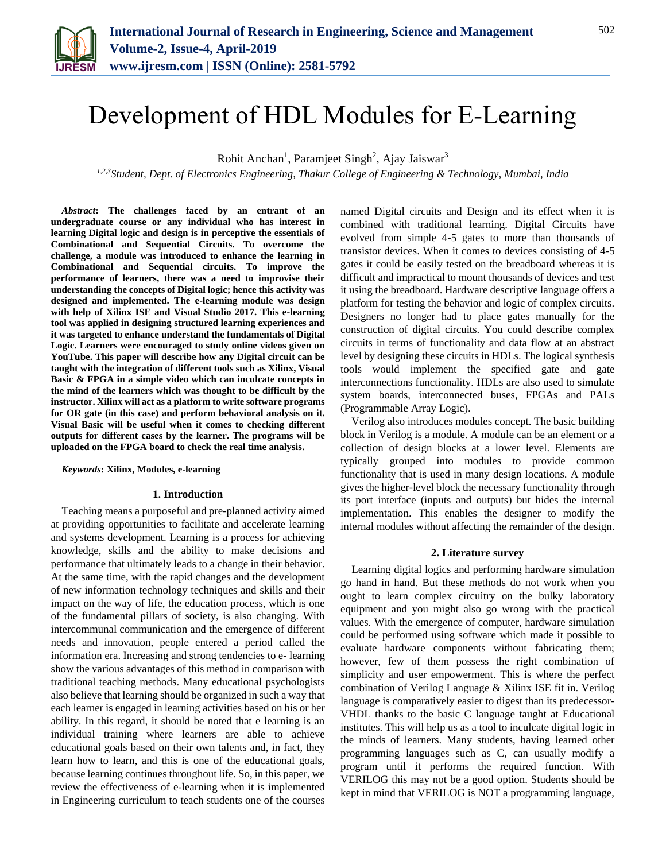

# Development of HDL Modules for E-Learning

Rohit Anchan<sup>1</sup>, Paramjeet Singh<sup>2</sup>, Ajay Jaiswar<sup>3</sup>

*1,2,3Student, Dept. of Electronics Engineering, Thakur College of Engineering & Technology, Mumbai, India*

*Abstract***: The challenges faced by an entrant of an undergraduate course or any individual who has interest in learning Digital logic and design is in perceptive the essentials of Combinational and Sequential Circuits. To overcome the challenge, a module was introduced to enhance the learning in Combinational and Sequential circuits. To improve the performance of learners, there was a need to improvise their understanding the concepts of Digital logic; hence this activity was designed and implemented. The e-learning module was design with help of Xilinx ISE and Visual Studio 2017. This e-learning tool was applied in designing structured learning experiences and it was targeted to enhance understand the fundamentals of Digital Logic. Learners were encouraged to study online videos given on YouTube. This paper will describe how any Digital circuit can be taught with the integration of different tools such as Xilinx, Visual Basic & FPGA in a simple video which can inculcate concepts in the mind of the learners which was thought to be difficult by the instructor. Xilinx will act as a platform to write software programs for OR gate (in this case) and perform behavioral analysis on it. Visual Basic will be useful when it comes to checking different outputs for different cases by the learner. The programs will be uploaded on the FPGA board to check the real time analysis.**

#### *Keywords***: Xilinx, Modules, e-learning**

# **1. Introduction**

Teaching means a purposeful and pre-planned activity aimed at providing opportunities to facilitate and accelerate learning and systems development. Learning is a process for achieving knowledge, skills and the ability to make decisions and performance that ultimately leads to a change in their behavior. At the same time, with the rapid changes and the development of new information technology techniques and skills and their impact on the way of life, the education process, which is one of the fundamental pillars of society, is also changing. With intercommunal communication and the emergence of different needs and innovation, people entered a period called the information era. Increasing and strong tendencies to e- learning show the various advantages of this method in comparison with traditional teaching methods. Many educational psychologists also believe that learning should be organized in such a way that each learner is engaged in learning activities based on his or her ability. In this regard, it should be noted that e learning is an individual training where learners are able to achieve educational goals based on their own talents and, in fact, they learn how to learn, and this is one of the educational goals, because learning continues throughout life. So, in this paper, we review the effectiveness of e-learning when it is implemented in Engineering curriculum to teach students one of the courses

named Digital circuits and Design and its effect when it is combined with traditional learning. Digital Circuits have evolved from simple 4-5 gates to more than thousands of transistor devices. When it comes to devices consisting of 4-5 gates it could be easily tested on the breadboard whereas it is difficult and impractical to mount thousands of devices and test it using the breadboard. Hardware descriptive language offers a platform for testing the behavior and logic of complex circuits. Designers no longer had to place gates manually for the construction of digital circuits. You could describe complex circuits in terms of functionality and data flow at an abstract level by designing these circuits in HDLs. The logical synthesis tools would implement the specified gate and gate interconnections functionality. HDLs are also used to simulate system boards, interconnected buses, FPGAs and PALs (Programmable Array Logic).

Verilog also introduces modules concept. The basic building block in Verilog is a module. A module can be an element or a collection of design blocks at a lower level. Elements are typically grouped into modules to provide common functionality that is used in many design locations. A module gives the higher-level block the necessary functionality through its port interface (inputs and outputs) but hides the internal implementation. This enables the designer to modify the internal modules without affecting the remainder of the design.

#### **2. Literature survey**

Learning digital logics and performing hardware simulation go hand in hand. But these methods do not work when you ought to learn complex circuitry on the bulky laboratory equipment and you might also go wrong with the practical values. With the emergence of computer, hardware simulation could be performed using software which made it possible to evaluate hardware components without fabricating them; however, few of them possess the right combination of simplicity and user empowerment. This is where the perfect combination of Verilog Language & Xilinx ISE fit in. Verilog language is comparatively easier to digest than its predecessor-VHDL thanks to the basic C language taught at Educational institutes. This will help us as a tool to inculcate digital logic in the minds of learners. Many students, having learned other programming languages such as C, can usually modify a program until it performs the required function. With VERILOG this may not be a good option. Students should be kept in mind that VERILOG is NOT a programming language,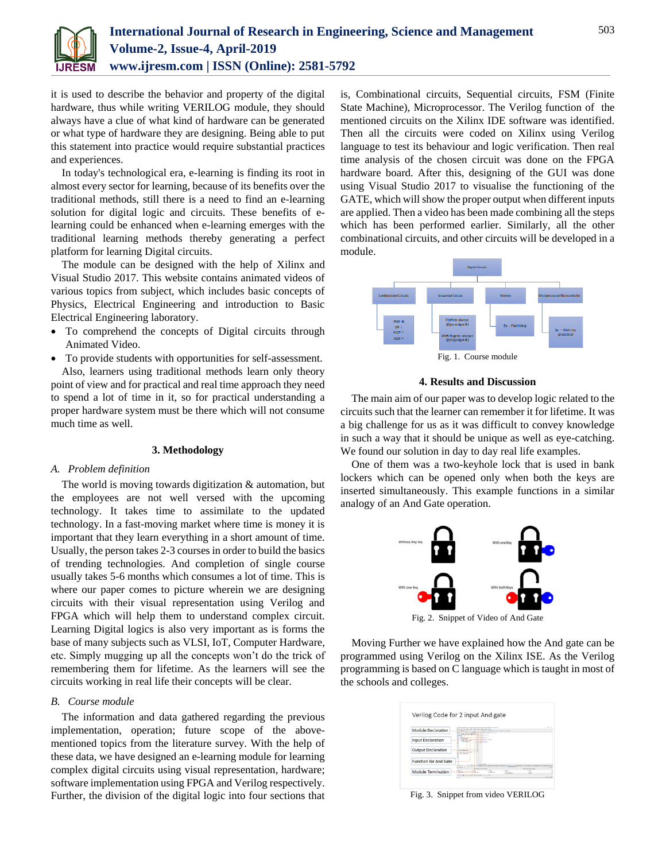

it is used to describe the behavior and property of the digital hardware, thus while writing VERILOG module, they should always have a clue of what kind of hardware can be generated or what type of hardware they are designing. Being able to put this statement into practice would require substantial practices and experiences.

In today's technological era, e-learning is finding its root in almost every sector for learning, because of its benefits over the traditional methods, still there is a need to find an e-learning solution for digital logic and circuits. These benefits of elearning could be enhanced when e-learning emerges with the traditional learning methods thereby generating a perfect platform for learning Digital circuits.

The module can be designed with the help of Xilinx and Visual Studio 2017. This website contains animated videos of various topics from subject, which includes basic concepts of Physics, Electrical Engineering and introduction to Basic Electrical Engineering laboratory.

- To comprehend the concepts of Digital circuits through Animated Video.
- To provide students with opportunities for self-assessment. Also, learners using traditional methods learn only theory point of view and for practical and real time approach they need to spend a lot of time in it, so for practical understanding a proper hardware system must be there which will not consume much time as well.

# **3. Methodology**

## *A. Problem definition*

The world is moving towards digitization & automation, but the employees are not well versed with the upcoming technology. It takes time to assimilate to the updated technology. In a fast-moving market where time is money it is important that they learn everything in a short amount of time. Usually, the person takes 2-3 courses in order to build the basics of trending technologies. And completion of single course usually takes 5-6 months which consumes a lot of time. This is where our paper comes to picture wherein we are designing circuits with their visual representation using Verilog and FPGA which will help them to understand complex circuit. Learning Digital logics is also very important as is forms the base of many subjects such as VLSI, IoT, Computer Hardware, etc. Simply mugging up all the concepts won't do the trick of remembering them for lifetime. As the learners will see the circuits working in real life their concepts will be clear.

# *B. Course module*

The information and data gathered regarding the previous implementation, operation; future scope of the abovementioned topics from the literature survey. With the help of these data, we have designed an e-learning module for learning complex digital circuits using visual representation, hardware; software implementation using FPGA and Verilog respectively. Further, the division of the digital logic into four sections that is, Combinational circuits, Sequential circuits, FSM (Finite State Machine), Microprocessor. The Verilog function of the mentioned circuits on the Xilinx IDE software was identified. Then all the circuits were coded on Xilinx using Verilog language to test its behaviour and logic verification. Then real time analysis of the chosen circuit was done on the FPGA hardware board. After this, designing of the GUI was done using Visual Studio 2017 to visualise the functioning of the GATE, which will show the proper output when different inputs are applied. Then a video has been made combining all the steps which has been performed earlier. Similarly, all the other combinational circuits, and other circuits will be developed in a module.



## **4. Results and Discussion**

The main aim of our paper was to develop logic related to the circuits such that the learner can remember it for lifetime. It was a big challenge for us as it was difficult to convey knowledge in such a way that it should be unique as well as eye-catching. We found our solution in day to day real life examples.

One of them was a two-keyhole lock that is used in bank lockers which can be opened only when both the keys are inserted simultaneously. This example functions in a similar analogy of an And Gate operation.



Fig. 2. Snippet of Video of And Gate

Moving Further we have explained how the And gate can be programmed using Verilog on the Xilinx ISE. As the Verilog programming is based on C language which is taught in most of the schools and colleges.

| Module Declaration           |                 |                                    |                | 440.0001 |  |
|------------------------------|-----------------|------------------------------------|----------------|----------|--|
| <b>Input Declaration</b>     | <b>Contract</b> |                                    |                |          |  |
| <b>Output Declaration</b>    |                 |                                    |                |          |  |
| <b>Function for And Gate</b> |                 |                                    |                |          |  |
| Module Termination           |                 | <b>Brown March All Art Lowered</b> | <b>Section</b> |          |  |

Fig. 3. Snippet from video VERILOG